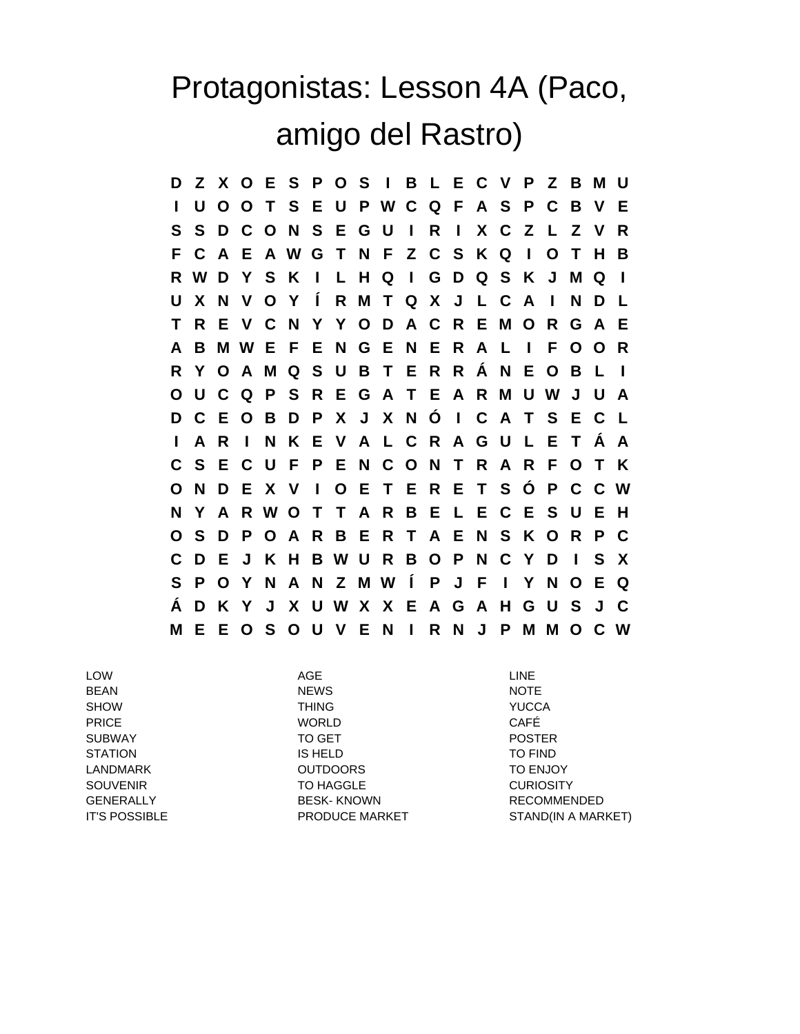## Protagonistas: Lesson 4A (Paco, amigo del Rastro)

**D Z X O E S P O S I B L E C V P Z B M U I U O O T S E U P W C Q F A S P C B V E S S D C O N S E G U I R I X C Z L Z V R F C A E A W G T N F Z C S K Q I O T H B R W D Y S K I L H Q I G D Q S K J M Q I U X N V O Y Í R M T Q X J L C A I N D L T R E V C N Y Y O D A C R E M O R G A E A B M W E F E N G E N E R A L I F O O R R Y O A M Q S U B T E R R Á N E O B L I O U C Q P S R E G A T E A R M U W J U A D C E O B D P X J X N Ó I C A T S E C L I A R I N K E V A L C R A G U L E T Á A C S E C U F P E N C O N T R A R F O T K O N D E X V I O E T E R E T S Ó P C C W N Y A R W O T T A R B E L E C E S U E H O S D P O A R B E R T A E N S K O R P C C D E J K H B W U R B O P N C Y D I S X S P O Y N A N Z M W Í P J F I Y N O E Q Á D K Y J X U W X X E A G A H G U S J C M E E O S O U V E N I R N J P M M O C W**

LOW AGE LINE BEAN NEWS NOTE SHOW THING YUCCA PRICE WORLD CAFÉ SUBWAY TO GET POSTER STATION IS HELD TO FIND LANDMARK OUTDOORS TO ENJOY SOUVENIR TO HAGGLE CURIOSITY GENERALLY BESK- KNOWN RECOMMENDED

IT'S POSSIBLE **EXECUTE PRODUCE MARKET** STAND(IN A MARKET)